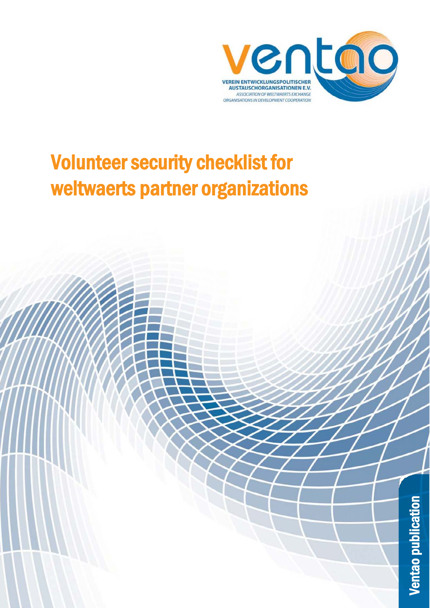

# Volunteer security checklist for weltwaerts partner organizations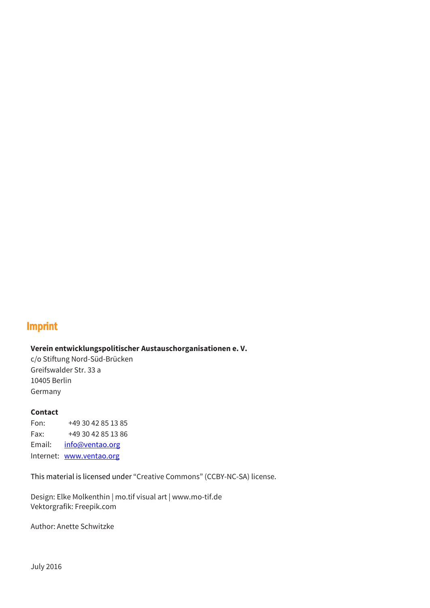### Imprint

#### **Verein entwicklungspolitischer Austauschorganisationen e. V.**

c/o Stiftung Nord-Süd-Brücken Greifswalder Str. 33 a 10405 Berlin Germany

#### **Contact**

Fon: +49 30 42 85 13 85 Fax: +49 30 42 85 13 86 Email: [info@ventao.org](mailto:info@ventao.org) Internet: [www.ventao.org](http://www.ventao.org/)

This material is licensed under "Creative Commons" (CCBY-NC-SA) license.

Design: Elke Molkenthin | mo.tif visual art | www.mo-tif.de Vektorgrafik: Freepik.com

Author: Anette Schwitzke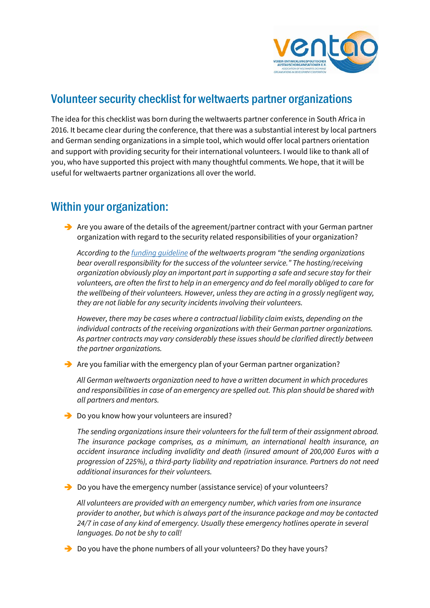

## Volunteer security checklist for weltwaerts partner organizations

The idea for this checklist was born during the weltwaerts partner conference in South Africa in 2016. It became clear during the conference, that there was a substantial interest by local partners and German sending organizations in a simple tool, which would offer local partners orientation and support with providing security for their international volunteers. I would like to thank all of you, who have supported this project with many thoughtful comments. We hope, that it will be useful for weltwaerts partner organizations all over the world.

# Within your organization:

 $\rightarrow$  Are you aware of the details of the agreement/partner contract with your German partner organization with regard to the security related responsibilities of your organization?

*According to th[e funding guideline](http://www.weltwaerts.de/en/detail.html?id=180) of the weltwaerts program "the sending organizations bear overall responsibility for the success of the volunteer service." The hosting/receiving organization obviously play an important part in supporting a safe and secure stay for their volunteers, are often the first to help in an emergency and do feel morally obliged to care for the wellbeing of their volunteers. However, unless they are acting in a grossly negligent way, they are not liable for any security incidents involving their volunteers.* 

*However, there may be cases where a contractual liability claim exists, depending on the individual contracts of the receiving organizations with their German partner organizations. As partner contracts may vary considerably these issues should be clarified directly between the partner organizations.* 

 $\rightarrow$  Are you familiar with the emergency plan of your German partner organization?

*All German weltwaerts organization need to have a written document in which procedures and responsibilities in case of an emergency are spelled out. This plan should be shared with all partners and mentors.* 

Do you know how your volunteers are insured?

*The sending organizations insure their volunteers for the full term of their assignment abroad. The insurance package comprises, as a minimum, an international health insurance, an accident insurance including invalidity and death (insured amount of 200,000 Euros with a progression of 225%), a third-party liability and repatriation insurance. Partners do not need additional insurances for their volunteers.* 

→ Do you have the emergency number (assistance service) of your volunteers?

*All volunteers are provided with an emergency number, which varies from one insurance provider to another, but which is always part of the insurance package and may be contacted 24/7 in case of any kind of emergency. Usually these emergency hotlines operate in several languages. Do not be shy to call!*

 $\rightarrow$  Do you have the phone numbers of all your volunteers? Do they have yours?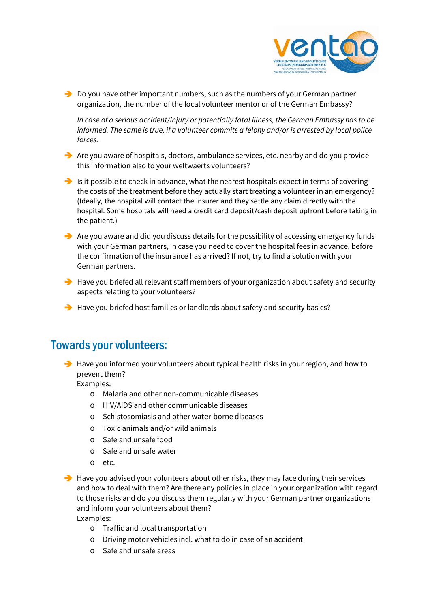

 $\rightarrow$  Do you have other important numbers, such as the numbers of your German partner organization, the number of the local volunteer mentor or of the German Embassy?

*In case of a serious accident/injury or potentially fatal illness, the German Embassy has to be informed. The same is true, if a volunteer commits a felony and/or is arrested by local police forces.*

- $\rightarrow$  Are you aware of hospitals, doctors, ambulance services, etc. nearby and do you provide this information also to your weltwaerts volunteers?
- Is it possible to check in advance, what the nearest hospitals expect in terms of covering the costs of the treatment before they actually start treating a volunteer in an emergency? (Ideally, the hospital will contact the insurer and they settle any claim directly with the hospital. Some hospitals will need a credit card deposit/cash deposit upfront before taking in the patient.)
- $\rightarrow$  Are you aware and did you discuss details for the possibility of accessing emergency funds with your German partners, in case you need to cover the hospital fees in advance, before the confirmation of the insurance has arrived? If not, try to find a solution with your German partners.
- $\rightarrow$  Have you briefed all relevant staff members of your organization about safety and security aspects relating to your volunteers?
- $\rightarrow$  Have you briefed host families or landlords about safety and security basics?

# Towards your volunteers:

 $\rightarrow$  Have you informed your volunteers about typical health risks in your region, and how to prevent them?

Examples:

- o Malaria and other non-communicable diseases
- o HIV/AIDS and other communicable diseases
- o Schistosomiasis and other water-borne diseases
- o Toxic animals and/or wild animals
- o Safe and unsafe food
- o Safe and unsafe water
- o etc.
- $\rightarrow$  Have you advised your volunteers about other risks, they may face during their services and how to deal with them? Are there any policies in place in your organization with regard to those risks and do you discuss them regularly with your German partner organizations and inform your volunteers about them? Examples:
	- o Traffic and local transportation
	- o Driving motor vehicles incl. what to do in case of an accident
	- o Safe and unsafe areas